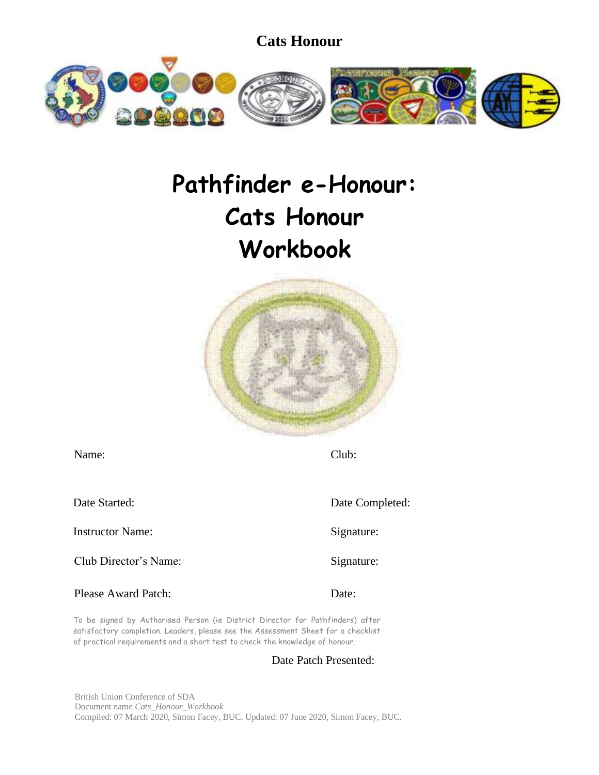

# **Pathfinder e-Honour: Cats Honour Workbook**



| Name:                      | Club:           |
|----------------------------|-----------------|
| Date Started:              | Date Completed: |
| <b>Instructor Name:</b>    | Signature:      |
| Club Director's Name:      | Signature:      |
| <b>Please Award Patch:</b> | Date:           |

To be signed by Authorised Person (ie District Director for Pathfinders) after satisfactory completion. Leaders, please see the Assessment Sheet for a checklist of practical requirements and a short test to check the knowledge of honour.

### Date Patch Presented:

British Union Conference of SDA Document name *Cats\_Honour\_Workbook* Compiled: 07 March 2020, Simon Facey, BUC. Updated: 07 June 2020, Simon Facey, BUC.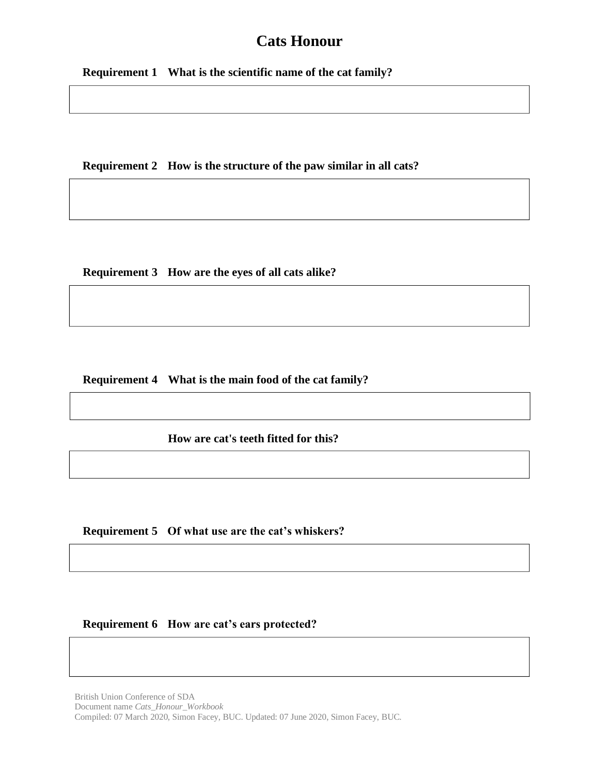**Requirement 1 What is the scientific name of the cat family?**

**Requirement 2 How is the structure of the paw similar in all cats?**

**Requirement 3 How are the eyes of all cats alike?**

**Requirement 4 What is the main food of the cat family?**

**How are cat's teeth fitted for this?**

**Requirement 5 Of what use are the cat's whiskers?**

**Requirement 6 How are cat's ears protected?**

British Union Conference of SDA Document name *Cats\_Honour\_Workbook* Compiled: 07 March 2020, Simon Facey, BUC. Updated: 07 June 2020, Simon Facey, BUC.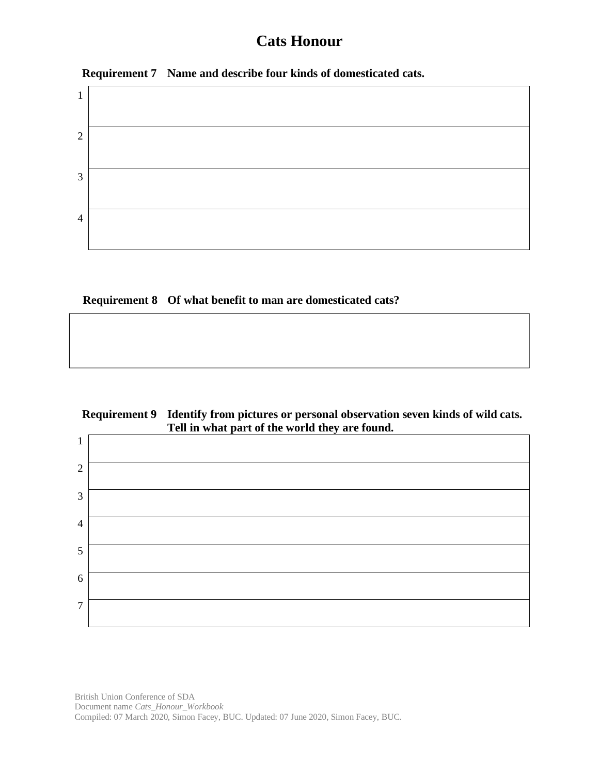



## **Requirement 8 Of what benefit to man are domesticated cats?**